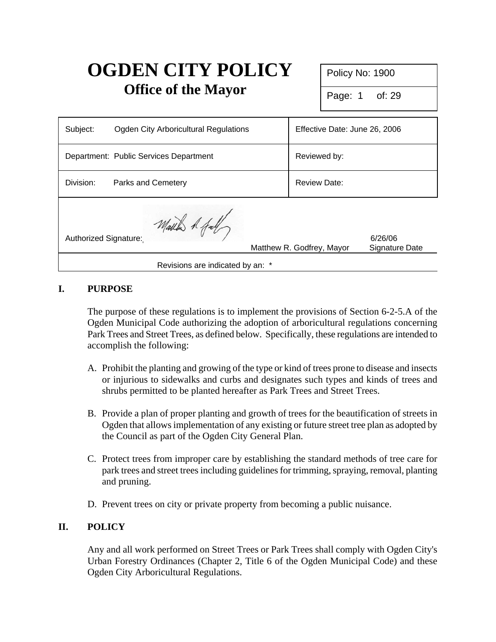# **OGDEN CITY POLICY Office of the Mayor**

Policy No: 1900

Page: 1 of: 29

| Subject:                         | Ogden City Arboricultural Regulations  |  | Effective Date: June 26, 2006 |                           |
|----------------------------------|----------------------------------------|--|-------------------------------|---------------------------|
|                                  | Department: Public Services Department |  | Reviewed by:                  |                           |
| Division:                        | <b>Parks and Cemetery</b>              |  | <b>Review Date:</b>           |                           |
| Authorized Signature:            | March 1 fall                           |  | Matthew R. Godfrey, Mayor     | 6/26/06<br>Signature Date |
| Revisions are indicated by an: * |                                        |  |                               |                           |

# **I. PURPOSE**

The purpose of these regulations is to implement the provisions of Section 6-2-5.A of the Ogden Municipal Code authorizing the adoption of arboricultural regulations concerning Park Trees and Street Trees, as defined below. Specifically, these regulations are intended to accomplish the following:

- A. Prohibit the planting and growing of the type or kind of trees prone to disease and insects or injurious to sidewalks and curbs and designates such types and kinds of trees and shrubs permitted to be planted hereafter as Park Trees and Street Trees.
- B. Provide a plan of proper planting and growth of trees for the beautification of streets in Ogden that allows implementation of any existing or future street tree plan as adopted by the Council as part of the Ogden City General Plan.
- C. Protect trees from improper care by establishing the standard methods of tree care for park trees and street trees including guidelines for trimming, spraying, removal, planting and pruning.
- D. Prevent trees on city or private property from becoming a public nuisance.

## **II. POLICY**

Any and all work performed on Street Trees or Park Trees shall comply with Ogden City's Urban Forestry Ordinances (Chapter 2, Title 6 of the Ogden Municipal Code) and these Ogden City Arboricultural Regulations.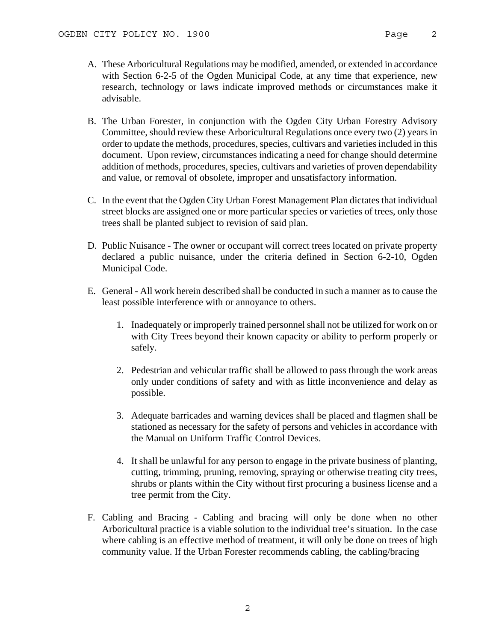- A. These Arboricultural Regulations may be modified, amended, or extended in accordance with Section 6-2-5 of the Ogden Municipal Code, at any time that experience, new research, technology or laws indicate improved methods or circumstances make it advisable.
- B. The Urban Forester, in conjunction with the Ogden City Urban Forestry Advisory Committee, should review these Arboricultural Regulations once every two (2) years in order to update the methods, procedures, species, cultivars and varieties included in this document. Upon review, circumstances indicating a need for change should determine addition of methods, procedures, species, cultivars and varieties of proven dependability and value, or removal of obsolete, improper and unsatisfactory information.
- C. In the event that the Ogden City Urban Forest Management Plan dictates that individual street blocks are assigned one or more particular species or varieties of trees, only those trees shall be planted subject to revision of said plan.
- D. Public Nuisance The owner or occupant will correct trees located on private property declared a public nuisance, under the criteria defined in Section 6-2-10, Ogden Municipal Code.
- E. General All work herein described shall be conducted in such a manner as to cause the least possible interference with or annoyance to others.
	- 1. Inadequately or improperly trained personnel shall not be utilized for work on or with City Trees beyond their known capacity or ability to perform properly or safely.
	- 2. Pedestrian and vehicular traffic shall be allowed to pass through the work areas only under conditions of safety and with as little inconvenience and delay as possible.
	- 3. Adequate barricades and warning devices shall be placed and flagmen shall be stationed as necessary for the safety of persons and vehicles in accordance with the Manual on Uniform Traffic Control Devices.
	- 4. It shall be unlawful for any person to engage in the private business of planting, cutting, trimming, pruning, removing, spraying or otherwise treating city trees, shrubs or plants within the City without first procuring a business license and a tree permit from the City.
- F. Cabling and Bracing Cabling and bracing will only be done when no other Arboricultural practice is a viable solution to the individual tree's situation. In the case where cabling is an effective method of treatment, it will only be done on trees of high community value. If the Urban Forester recommends cabling, the cabling/bracing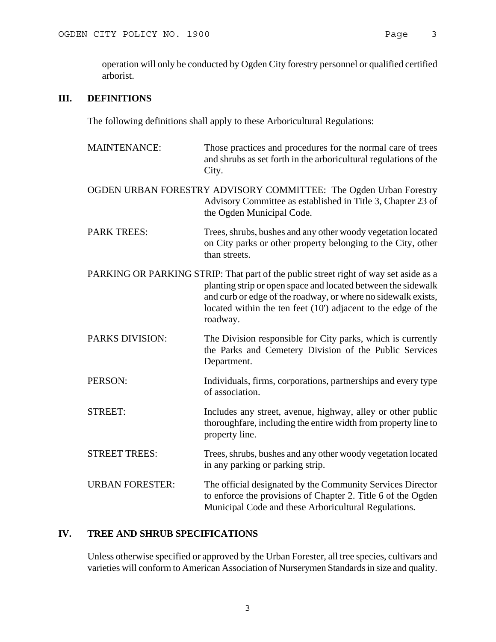operation will only be conducted by Ogden City forestry personnel or qualified certified arborist.

## **III. DEFINITIONS**

The following definitions shall apply to these Arboricultural Regulations:

- MAINTENANCE: Those practices and procedures for the normal care of trees and shrubs as set forth in the arboricultural regulations of the City.
- OGDEN URBAN FORESTRY ADVISORY COMMITTEE: The Ogden Urban Forestry Advisory Committee as established in Title 3, Chapter 23 of the Ogden Municipal Code.
- PARK TREES: Trees, shrubs, bushes and any other woody vegetation located on City parks or other property belonging to the City, other than streets.
- PARKING OR PARKING STRIP: That part of the public street right of way set aside as a planting strip or open space and located between the sidewalk and curb or edge of the roadway, or where no sidewalk exists, located within the ten feet (10') adjacent to the edge of the roadway.
- PARKS DIVISION: The Division responsible for City parks, which is currently the Parks and Cemetery Division of the Public Services Department.
- PERSON: Individuals, firms, corporations, partnerships and every type of association.
- STREET: Includes any street, avenue, highway, alley or other public thoroughfare, including the entire width from property line to property line.
- STREET TREES: Trees, shrubs, bushes and any other woody vegetation located in any parking or parking strip.
- URBAN FORESTER: The official designated by the Community Services Director to enforce the provisions of Chapter 2. Title 6 of the Ogden Municipal Code and these Arboricultural Regulations.

## **IV. TREE AND SHRUB SPECIFICATIONS**

Unless otherwise specified or approved by the Urban Forester, all tree species, cultivars and varieties will conform to American Association of Nurserymen Standards in size and quality.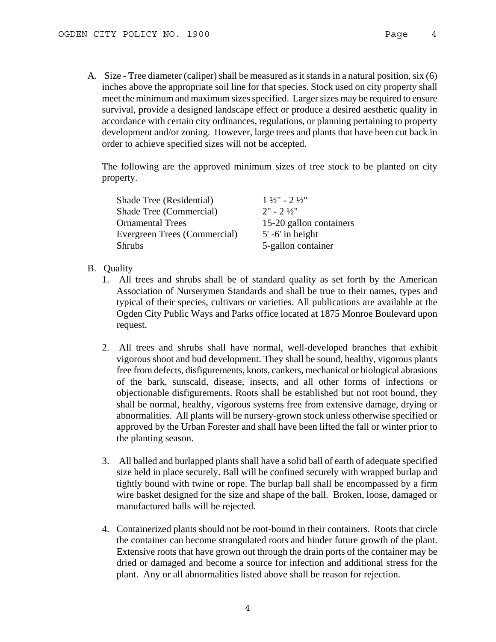A. Size - Tree diameter (caliper) shall be measured as it stands in a natural position, six (6) inches above the appropriate soil line for that species. Stock used on city property shall meet the minimum and maximum sizes specified. Larger sizes may be required to ensure survival, provide a designed landscape effect or produce a desired aesthetic quality in accordance with certain city ordinances, regulations, or planning pertaining to property development and/or zoning. However, large trees and plants that have been cut back in order to achieve specified sizes will not be accepted.

The following are the approved minimum sizes of tree stock to be planted on city property.

| Shade Tree (Residential)     | $1\frac{1}{2}$ " - 2 $\frac{1}{2}$ " |
|------------------------------|--------------------------------------|
| Shade Tree (Commercial)      | $2" - 2\frac{1}{2}"$                 |
| <b>Ornamental Trees</b>      | 15-20 gallon containers              |
| Evergreen Trees (Commercial) | $5'$ -6' in height                   |
| <b>Shrubs</b>                | 5-gallon container                   |

#### B. Quality

- 1. All trees and shrubs shall be of standard quality as set forth by the American Association of Nurserymen Standards and shall be true to their names, types and typical of their species, cultivars or varieties. All publications are available at the Ogden City Public Ways and Parks office located at 1875 Monroe Boulevard upon request.
- 2. All trees and shrubs shall have normal, well-developed branches that exhibit vigorous shoot and bud development. They shall be sound, healthy, vigorous plants free from defects, disfigurements, knots, cankers, mechanical or biological abrasions of the bark, sunscald, disease, insects, and all other forms of infections or objectionable disfigurements. Roots shall be established but not root bound, they shall be normal, healthy, vigorous systems free from extensive damage, drying or abnormalities. All plants will be nursery-grown stock unless otherwise specified or approved by the Urban Forester and shall have been lifted the fall or winter prior to the planting season.
- 3. All balled and burlapped plants shall have a solid ball of earth of adequate specified size held in place securely. Ball will be confined securely with wrapped burlap and tightly bound with twine or rope. The burlap ball shall be encompassed by a firm wire basket designed for the size and shape of the ball. Broken, loose, damaged or manufactured balls will be rejected.
- 4. Containerized plants should not be root-bound in their containers. Roots that circle the container can become strangulated roots and hinder future growth of the plant. Extensive roots that have grown out through the drain ports of the container may be dried or damaged and become a source for infection and additional stress for the plant. Any or all abnormalities listed above shall be reason for rejection.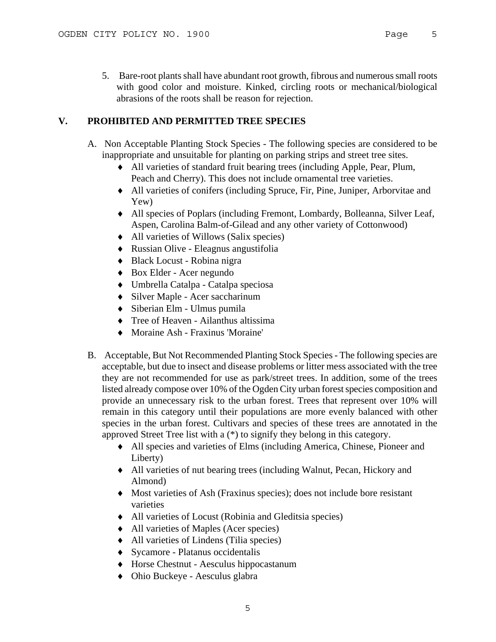5. Bare-root plants shall have abundant root growth, fibrous and numerous small roots with good color and moisture. Kinked, circling roots or mechanical/biological abrasions of the roots shall be reason for rejection.

## **V. PROHIBITED AND PERMITTED TREE SPECIES**

- A. Non Acceptable Planting Stock Species The following species are considered to be inappropriate and unsuitable for planting on parking strips and street tree sites.
	- ♦ All varieties of standard fruit bearing trees (including Apple, Pear, Plum, Peach and Cherry). This does not include ornamental tree varieties.
	- ♦ All varieties of conifers (including Spruce, Fir, Pine, Juniper, Arborvitae and Yew)
	- ♦ All species of Poplars (including Fremont, Lombardy, Bolleanna, Silver Leaf, Aspen, Carolina Balm-of-Gilead and any other variety of Cottonwood)
	- ♦ All varieties of Willows (Salix species)
	- ♦ Russian Olive Eleagnus angustifolia
	- ♦ Black Locust Robina nigra
	- ♦ Box Elder Acer negundo
	- ♦ Umbrella Catalpa Catalpa speciosa
	- ♦ Silver Maple Acer saccharinum
	- ♦ Siberian Elm Ulmus pumila
	- ♦ Tree of Heaven Ailanthus altissima
	- ♦ Moraine Ash Fraxinus 'Moraine'
- B. Acceptable, But Not Recommended Planting Stock Species The following species are acceptable, but due to insect and disease problems or litter mess associated with the tree they are not recommended for use as park/street trees. In addition, some of the trees listed already compose over 10% of the Ogden City urban forest species composition and provide an unnecessary risk to the urban forest. Trees that represent over 10% will remain in this category until their populations are more evenly balanced with other species in the urban forest. Cultivars and species of these trees are annotated in the approved Street Tree list with a (\*) to signify they belong in this category.
	- ♦ All species and varieties of Elms (including America, Chinese, Pioneer and Liberty)
	- ♦ All varieties of nut bearing trees (including Walnut, Pecan, Hickory and Almond)
	- ♦ Most varieties of Ash (Fraxinus species); does not include bore resistant varieties
	- ♦ All varieties of Locust (Robinia and Gleditsia species)
	- ♦ All varieties of Maples (Acer species)
	- ♦ All varieties of Lindens (Tilia species)
	- ♦ Sycamore Platanus occidentalis
	- ♦ Horse Chestnut Aesculus hippocastanum
	- ♦ Ohio Buckeye Aesculus glabra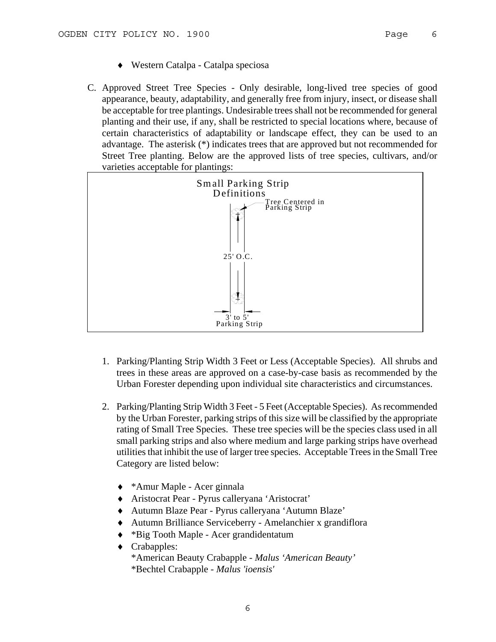- ♦ Western Catalpa Catalpa speciosa
- C. Approved Street Tree Species Only desirable, long-lived tree species of good appearance, beauty, adaptability, and generally free from injury, insect, or disease shall be acceptable for tree plantings. Undesirable trees shall not be recommended for general planting and their use, if any, shall be restricted to special locations where, because of certain characteristics of adaptability or landscape effect, they can be used to an advantage. The asterisk (\*) indicates trees that are approved but not recommended for Street Tree planting. Below are the approved lists of tree species, cultivars, and/or varieties acceptable for plantings:



- 1. Parking/Planting Strip Width 3 Feet or Less (Acceptable Species). All shrubs and trees in these areas are approved on a case-by-case basis as recommended by the Urban Forester depending upon individual site characteristics and circumstances.
- 2. Parking/Planting Strip Width 3 Feet 5 Feet (Acceptable Species). As recommended by the Urban Forester, parking strips of this size will be classified by the appropriate rating of Small Tree Species. These tree species will be the species class used in all small parking strips and also where medium and large parking strips have overhead utilities that inhibit the use of larger tree species. Acceptable Trees in the Small Tree Category are listed below:
	- ♦ \*Amur Maple Acer ginnala
	- ♦ Aristocrat Pear Pyrus calleryana 'Aristocrat'
	- ♦ Autumn Blaze Pear Pyrus calleryana 'Autumn Blaze'
	- ♦ Autumn Brilliance Serviceberry Amelanchier x grandiflora
	- ♦ \*Big Tooth Maple Acer grandidentatum
	- ♦ Crabapples: \*American Beauty Crabapple - *Malus 'American Beauty'* \*Bechtel Crabapple - *Malus 'ioensis'*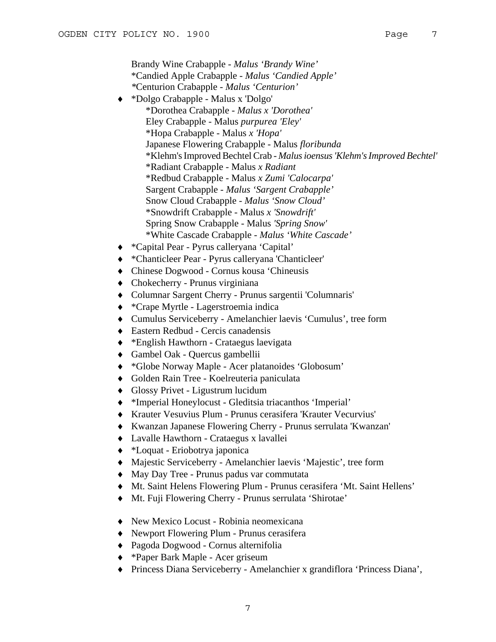Brandy Wine Crabapple - *Malus 'Brandy Wine'*  \*Candied Apple Crabapple - *Malus 'Candied Apple' \**Centurion Crabapple *- Malus 'Centurion'* ♦ \*Dolgo Crabapple - Malus x 'Dolgo' \*Dorothea Crabapple - *Malus x 'Dorothea'*  Eley Crabapple - Malus *purpurea 'Eley'* \*Hopa Crabapple - Malus *x 'Hopa'*  Japanese Flowering Crabapple - Malus *floribunda* \*Klehm's Improved Bechtel Crab - *Malus ioensus'Klehm's Improved Bechtel'* \*Radiant Crabapple - Malus *x Radiant* \*Redbud Crabapple - Malus *x Zumi 'Calocarpa'*  Sargent Crabapple - *Malus 'Sargent Crabapple'*  Snow Cloud Crabapple - *Malus 'Snow Cloud'*  \*Snowdrift Crabapple - Malus *x 'Snowdrift'*  Spring Snow Crabapple - Malus *'Spring Snow'* \*White Cascade Crabapple - *Malus 'White Cascade'*  ♦ \*Capital Pear - Pyrus calleryana 'Capital'

- ♦ \*Chanticleer Pear Pyrus calleryana 'Chanticleer'
- ♦ Chinese Dogwood Cornus kousa 'Chineusis
- ♦ Chokecherry Prunus virginiana
- ♦ Columnar Sargent Cherry Prunus sargentii 'Columnaris'
- ♦ \*Crape Myrtle Lagerstroemia indica
- ♦ Cumulus Serviceberry Amelanchier laevis 'Cumulus', tree form
- ♦ Eastern Redbud Cercis canadensis
- ♦ \*English Hawthorn Crataegus laevigata
- ♦ Gambel Oak Quercus gambellii
- ♦ \*Globe Norway Maple Acer platanoides 'Globosum'
- ♦ Golden Rain Tree Koelreuteria paniculata
- ♦ Glossy Privet Ligustrum lucidum
- ♦ \*Imperial Honeylocust Gleditsia triacanthos 'Imperial'
- ♦ Krauter Vesuvius Plum Prunus cerasifera 'Krauter Vecurvius'
- ♦ Kwanzan Japanese Flowering Cherry Prunus serrulata 'Kwanzan'
- ♦ Lavalle Hawthorn Crataegus x lavallei
- ♦ \*Loquat Eriobotrya japonica
- ♦ Majestic Serviceberry Amelanchier laevis 'Majestic', tree form
- ♦ May Day Tree Prunus padus var commutata
- ♦ Mt. Saint Helens Flowering Plum Prunus cerasifera 'Mt. Saint Hellens'
- ♦ Mt. Fuji Flowering Cherry Prunus serrulata 'Shirotae'
- ♦ New Mexico Locust Robinia neomexicana
- ♦ Newport Flowering Plum Prunus cerasifera
- ♦ Pagoda Dogwood Cornus alternifolia
- ♦ \*Paper Bark Maple Acer griseum
- ♦ Princess Diana Serviceberry Amelanchier x grandiflora 'Princess Diana',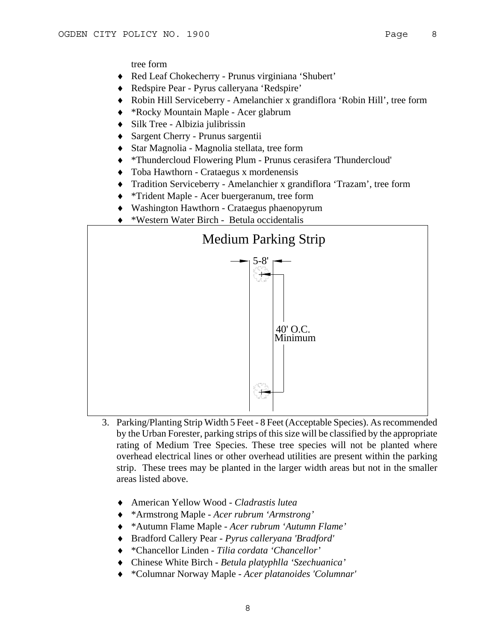tree form

- ♦ Red Leaf Chokecherry Prunus virginiana 'Shubert'
- ♦ Redspire Pear Pyrus calleryana 'Redspire'
- ♦ Robin Hill Serviceberry Amelanchier x grandiflora 'Robin Hill', tree form
- ♦ \*Rocky Mountain Maple Acer glabrum
- ♦ Silk Tree Albizia julibrissin
- ♦ Sargent Cherry Prunus sargentii
- ♦ Star Magnolia Magnolia stellata, tree form
- ♦ \*Thundercloud Flowering Plum Prunus cerasifera 'Thundercloud'
- ♦ Toba Hawthorn Crataegus x mordenensis
- ♦ Tradition Serviceberry Amelanchier x grandiflora 'Trazam', tree form
- ♦ \*Trident Maple Acer buergeranum, tree form
- ♦ Washington Hawthorn Crataegus phaenopyrum
- ♦ \*Western Water Birch Betula occidentalis



- 3. Parking/Planting Strip Width 5 Feet 8 Feet (Acceptable Species). As recommended by the Urban Forester, parking strips of this size will be classified by the appropriate rating of Medium Tree Species. These tree species will not be planted where overhead electrical lines or other overhead utilities are present within the parking strip. These trees may be planted in the larger width areas but not in the smaller areas listed above.
	- ♦ American Yellow Wood *Cladrastis lutea*
	- ♦ \*Armstrong Maple - *Acer rubrum 'Armstrong'*
	- ♦ \*Autumn Flame Maple - *Acer rubrum 'Autumn Flame'*
	- ♦ Bradford Callery Pear *Pyrus calleryana 'Bradford'*
	- ♦ \*Chancellor Linden - *Tilia cordata 'Chancellor'*
	- ♦ Chinese White Birch *Betula platyphlla 'Szechuanica'*
	- ♦ \*Columnar Norway Maple *Acer platanoides 'Columnar'*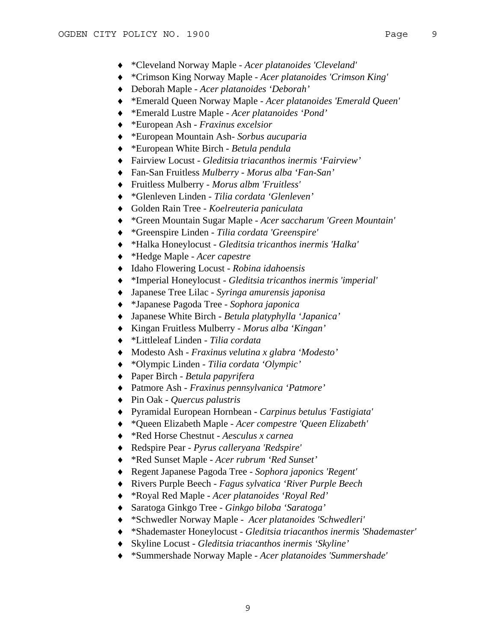- ♦ \*Cleveland Norway Maple *Acer platanoides 'Cleveland'*
- ♦ \*Crimson King Norway Maple *Acer platanoides 'Crimson King'*
- ♦ Deborah Maple *Acer platanoides 'Deborah'*
- ♦ \*Emerald Queen Norway Maple *Acer platanoides 'Emerald Queen'*
- ♦ \*Emerald Lustre Maple *Acer platanoides 'Pond'*
- ♦ \*European Ash - *Fraxinus excelsior*
- ♦ \*European Mountain Ash- *Sorbus aucuparia*
- ♦ \*European White Birch - *Betula pendula*
- ♦ Fairview Locust - *Gleditsia triacanthos inermis 'Fairview'*
- ♦ Fan-San Fruitless *Mulberry Morus alba 'Fan-San'*
- ♦ Fruitless Mulberry - *Morus albm 'Fruitless'*
- ♦ \*Glenleven Linden *Tilia cordata 'Glenleven'*
- ♦ Golden Rain Tree *Koelreuteria paniculata*
- ♦ \*Green Mountain Sugar Maple *Acer saccharum 'Green Mountain'*
- ♦ \*Greenspire Linden *Tilia cordata 'Greenspire'*
- ♦ \*Halka Honeylocust - *Gleditsia tricanthos inermis 'Halka'*
- ♦ \*Hedge Maple *Acer capestre*
- ♦ Idaho Flowering Locust - *Robina idahoensis*
- ♦ \*Imperial Honeylocust *Gleditsia tricanthos inermis 'imperial'*
- ♦ Japanese Tree Lilac - *Syringa amurensis japonisa*
- ♦ \*Japanese Pagoda Tree *Sophora japonica*
- ♦ Japanese White Birch - *Betula platyphylla 'Japanica'*
- ♦ Kingan Fruitless Mulberry *Morus alba 'Kingan'*
- ♦ \*Littleleaf Linden *Tilia cordata*
- ♦ Modesto Ash *Fraxinus velutina x glabra 'Modesto'*
- ♦ \*Olympic Linden *Tilia cordata 'Olympic'*
- ♦ Paper Birch *Betula papyrifera*
- ♦ Patmore Ash *Fraxinus pennsylvanica 'Patmore'*
- ♦ Pin Oak *Quercus palustris*
- ♦ Pyramidal European Hornbean *Carpinus betulus 'Fastigiata'*
- ♦ \*Queen Elizabeth Maple *Acer compestre 'Queen Elizabeth'*
- ♦ \*Red Horse Chestnut - *Aesculus x carnea*
- ♦ Redspire Pear *Pyrus calleryana 'Redspire'*
- ♦ \*Red Sunset Maple *Acer rubrum 'Red Sunset'*
- ♦ Regent Japanese Pagoda Tree *Sophora japonics 'Regent'*
- ♦ Rivers Purple Beech - *Fagus sylvatica 'River Purple Beech*
- ♦ \*Royal Red Maple *Acer platanoides 'Royal Red'*
- ♦ Saratoga Ginkgo Tree *Ginkgo biloba 'Saratoga'*
- ♦ \*Schwedler Norway Maple *Acer platanoides 'Schwedleri'*
- ♦ \*Shademaster Honeylocust *Gleditsia triacanthos inermis 'Shademaster'*
- ♦ Skyline Locust *Gleditsia triacanthos inermis 'Skyline'*
- ♦ \*Summershade Norway Maple *Acer platanoides 'Summershade'*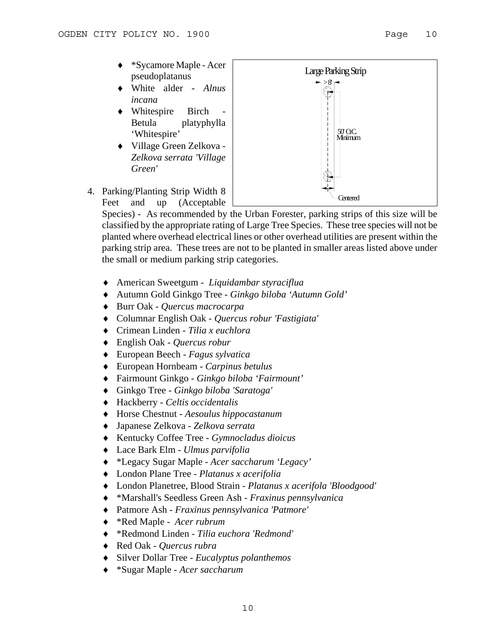- ♦ \*Sycamore Maple Acer pseudoplatanus
- ♦ White alder *Alnus incana*
- Whitespire Birch Betula platyphylla 'Whitespire'
- ♦ Village Green Zelkova *Zelkova serrata 'Village Green'*



4. Parking/Planting Strip Width 8 Feet and up (Acceptable

> Species) - As recommended by the Urban Forester, parking strips of this size will be classified by the appropriate rating of Large Tree Species. These tree species will not be planted where overhead electrical lines or other overhead utilities are present within the parking strip area. These trees are not to be planted in smaller areas listed above under the small or medium parking strip categories.

- ♦ American Sweetgum *Liquidambar styraciflua*
- ♦ Autumn Gold Ginkgo Tree *Ginkgo biloba 'Autumn Gold'*
- ♦ Burr Oak *Quercus macrocarpa*
- ♦ Columnar English Oak - *Quercus robur 'Fastigiata'*
- ♦ Crimean Linden *Tilia x euchlora*
- ♦ English Oak *Quercus robur*
- ♦ European Beech *Fagus sylvatica*
- ♦ European Hornbeam *Carpinus betulus*
- ♦ Fairmount Ginkgo *Ginkgo biloba 'Fairmount'*
- ♦ Ginkgo Tree - *Ginkgo biloba 'Saratoga'*
- ♦ Hackberry *Celtis occidentalis*
- ♦ Horse Chestnut *Aesoulus hippocastanum*
- ♦ Japanese Zelkova *Zelkova serrata*
- ♦ Kentucky Coffee Tree *Gymnocladus dioicus*
- ♦ Lace Bark Elm *Ulmus parvifolia*
- ♦ \*Legacy Sugar Maple *Acer saccharum 'Legacy'*
- ♦ London Plane Tree *Platanus x acerifolia*
- ♦ London Planetree, Blood Strain - *Platanus x acerifola 'Bloodgood'*
- ♦ \*Marshall's Seedless Green Ash - *Fraxinus pennsylvanica*
- ♦ Patmore Ash *Fraxinus pennsylvanica 'Patmore'*
- ♦ \*Red Maple *Acer rubrum*
- ♦ \*Redmond Linden *Tilia euchora 'Redmond'*
- ♦ Red Oak *Quercus rubra*
- ♦ Silver Dollar Tree *Eucalyptus polanthemos*
- ♦ \*Sugar Maple - *Acer saccharum*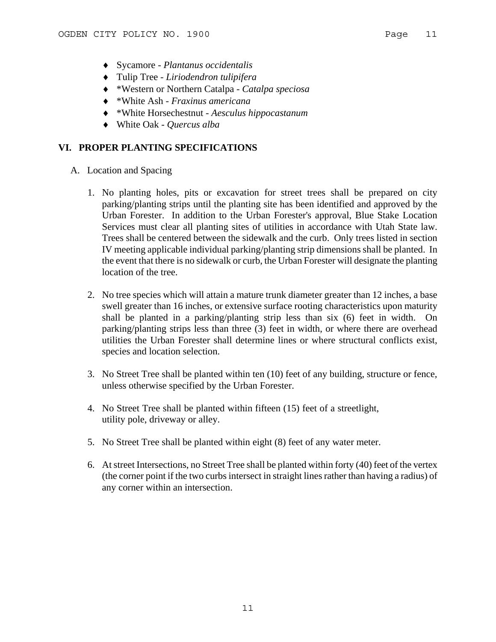- ♦ Sycamore *Plantanus occidentalis*
- ♦ Tulip Tree *Liriodendron tulipifera*
- ♦ \*Western or Northern Catalpa *Catalpa speciosa*
- ♦ \*White Ash *Fraxinus americana*
- ♦ \*White Horsechestnut *Aesculus hippocastanum*
- ♦ White Oak *Quercus alba*

## **VI. PROPER PLANTING SPECIFICATIONS**

- A. Location and Spacing
	- 1. No planting holes, pits or excavation for street trees shall be prepared on city parking/planting strips until the planting site has been identified and approved by the Urban Forester. In addition to the Urban Forester's approval, Blue Stake Location Services must clear all planting sites of utilities in accordance with Utah State law. Trees shall be centered between the sidewalk and the curb. Only trees listed in section IV meeting applicable individual parking/planting strip dimensions shall be planted. In the event that there is no sidewalk or curb, the Urban Forester will designate the planting location of the tree.
	- 2. No tree species which will attain a mature trunk diameter greater than 12 inches, a base swell greater than 16 inches, or extensive surface rooting characteristics upon maturity shall be planted in a parking/planting strip less than six (6) feet in width. On parking/planting strips less than three (3) feet in width, or where there are overhead utilities the Urban Forester shall determine lines or where structural conflicts exist, species and location selection.
	- 3. No Street Tree shall be planted within ten (10) feet of any building, structure or fence, unless otherwise specified by the Urban Forester.
	- 4. No Street Tree shall be planted within fifteen (15) feet of a streetlight, utility pole, driveway or alley.
	- 5. No Street Tree shall be planted within eight (8) feet of any water meter.
	- 6. At street Intersections, no Street Tree shall be planted within forty (40) feet of the vertex (the corner point if the two curbs intersect in straight lines rather than having a radius) of any corner within an intersection.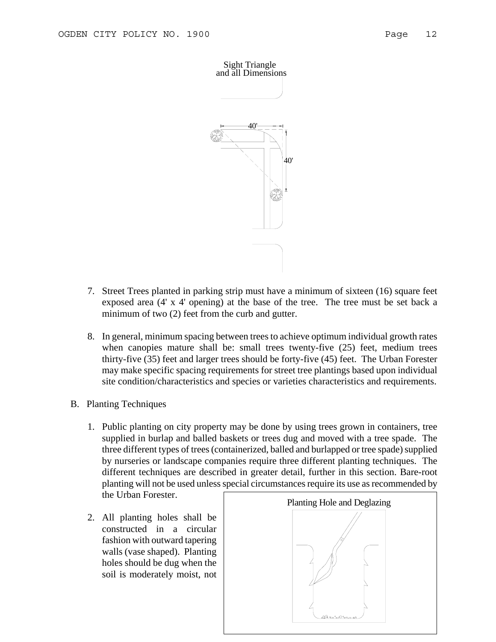

- 7. Street Trees planted in parking strip must have a minimum of sixteen (16) square feet exposed area (4' x 4' opening) at the base of the tree. The tree must be set back a minimum of two (2) feet from the curb and gutter.
- 8. In general, minimum spacing between trees to achieve optimum individual growth rates when canopies mature shall be: small trees twenty-five (25) feet, medium trees thirty-five (35) feet and larger trees should be forty-five (45) feet. The Urban Forester may make specific spacing requirements for street tree plantings based upon individual site condition/characteristics and species or varieties characteristics and requirements.
- B. Planting Techniques
	- 1. Public planting on city property may be done by using trees grown in containers, tree supplied in burlap and balled baskets or trees dug and moved with a tree spade. The three different types of trees (containerized, balled and burlapped or tree spade) supplied by nurseries or landscape companies require three different planting techniques. The different techniques are described in greater detail, further in this section. Bare-root planting will not be used unless special circumstances require its use as recommended by the Urban Forester.
	- 2. All planting holes shall be constructed in a circular fashion with outward tapering walls (vase shaped). Planting holes should be dug when the soil is moderately moist, not

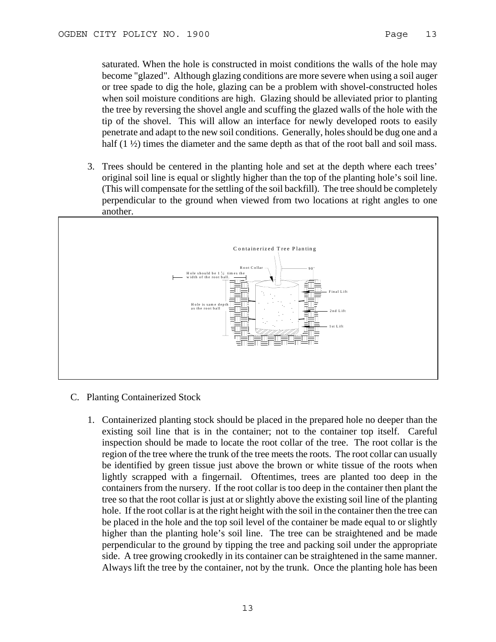saturated. When the hole is constructed in moist conditions the walls of the hole may become "glazed". Although glazing conditions are more severe when using a soil auger or tree spade to dig the hole, glazing can be a problem with shovel-constructed holes when soil moisture conditions are high. Glazing should be alleviated prior to planting the tree by reversing the shovel angle and scuffing the glazed walls of the hole with the tip of the shovel. This will allow an interface for newly developed roots to easily penetrate and adapt to the new soil conditions. Generally, holes should be dug one and a half  $(1 \frac{1}{2})$  times the diameter and the same depth as that of the root ball and soil mass.

3. Trees should be centered in the planting hole and set at the depth where each trees' original soil line is equal or slightly higher than the top of the planting hole's soil line. (This will compensate for the settling of the soil backfill). The tree should be completely perpendicular to the ground when viewed from two locations at right angles to one another.



- C. Planting Containerized Stock
	- 1. Containerized planting stock should be placed in the prepared hole no deeper than the existing soil line that is in the container; not to the container top itself. Careful inspection should be made to locate the root collar of the tree. The root collar is the region of the tree where the trunk of the tree meets the roots. The root collar can usually be identified by green tissue just above the brown or white tissue of the roots when lightly scrapped with a fingernail. Oftentimes, trees are planted too deep in the containers from the nursery. If the root collar is too deep in the container then plant the tree so that the root collar is just at or slightly above the existing soil line of the planting hole. If the root collar is at the right height with the soil in the container then the tree can be placed in the hole and the top soil level of the container be made equal to or slightly higher than the planting hole's soil line. The tree can be straightened and be made perpendicular to the ground by tipping the tree and packing soil under the appropriate side. A tree growing crookedly in its container can be straightened in the same manner. Always lift the tree by the container, not by the trunk. Once the planting hole has been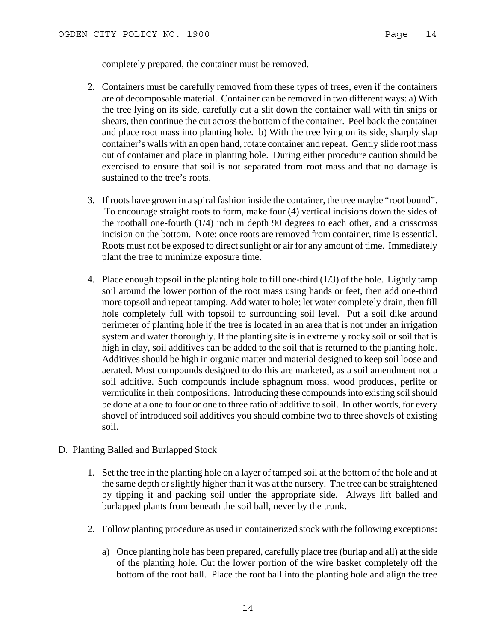completely prepared, the container must be removed.

- 2. Containers must be carefully removed from these types of trees, even if the containers are of decomposable material. Container can be removed in two different ways: a) With the tree lying on its side, carefully cut a slit down the container wall with tin snips or shears, then continue the cut across the bottom of the container. Peel back the container and place root mass into planting hole. b) With the tree lying on its side, sharply slap container's walls with an open hand, rotate container and repeat. Gently slide root mass out of container and place in planting hole. During either procedure caution should be exercised to ensure that soil is not separated from root mass and that no damage is sustained to the tree's roots.
- 3. If roots have grown in a spiral fashion inside the container, the tree maybe "root bound". To encourage straight roots to form, make four (4) vertical incisions down the sides of the rootball one-fourth (1/4) inch in depth 90 degrees to each other, and a crisscross incision on the bottom. Note: once roots are removed from container, time is essential. Roots must not be exposed to direct sunlight or air for any amount of time. Immediately plant the tree to minimize exposure time.
- 4. Place enough topsoil in the planting hole to fill one-third (1/3) of the hole. Lightly tamp soil around the lower portion of the root mass using hands or feet, then add one-third more topsoil and repeat tamping. Add water to hole; let water completely drain, then fill hole completely full with topsoil to surrounding soil level. Put a soil dike around perimeter of planting hole if the tree is located in an area that is not under an irrigation system and water thoroughly. If the planting site is in extremely rocky soil or soil that is high in clay, soil additives can be added to the soil that is returned to the planting hole. Additives should be high in organic matter and material designed to keep soil loose and aerated. Most compounds designed to do this are marketed, as a soil amendment not a soil additive. Such compounds include sphagnum moss, wood produces, perlite or vermiculite in their compositions. Introducing these compounds into existing soil should be done at a one to four or one to three ratio of additive to soil. In other words, for every shovel of introduced soil additives you should combine two to three shovels of existing soil.
- D. Planting Balled and Burlapped Stock
	- 1. Set the tree in the planting hole on a layer of tamped soil at the bottom of the hole and at the same depth or slightly higher than it was at the nursery. The tree can be straightened by tipping it and packing soil under the appropriate side. Always lift balled and burlapped plants from beneath the soil ball, never by the trunk.
	- 2. Follow planting procedure as used in containerized stock with the following exceptions:
		- a) Once planting hole has been prepared, carefully place tree (burlap and all) at the side of the planting hole. Cut the lower portion of the wire basket completely off the bottom of the root ball. Place the root ball into the planting hole and align the tree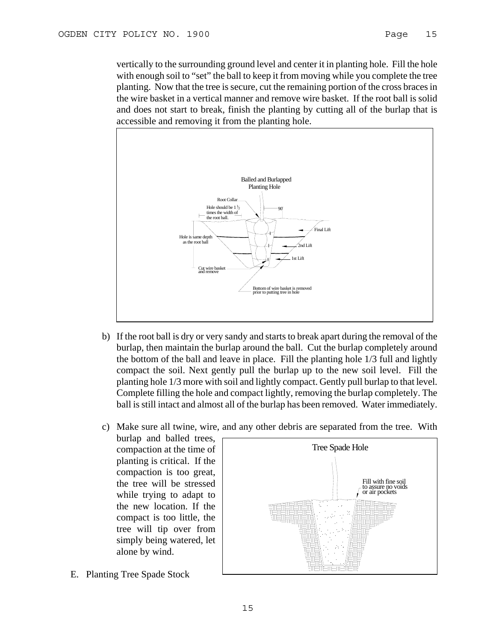vertically to the surrounding ground level and center it in planting hole. Fill the hole with enough soil to "set" the ball to keep it from moving while you complete the tree planting. Now that the tree is secure, cut the remaining portion of the cross braces in the wire basket in a vertical manner and remove wire basket. If the root ball is solid and does not start to break, finish the planting by cutting all of the burlap that is accessible and removing it from the planting hole.



- b) If the root ball is dry or very sandy and starts to break apart during the removal of the burlap, then maintain the burlap around the ball. Cut the burlap completely around the bottom of the ball and leave in place. Fill the planting hole 1/3 full and lightly compact the soil. Next gently pull the burlap up to the new soil level. Fill the planting hole 1/3 more with soil and lightly compact. Gently pull burlap to that level. Complete filling the hole and compact lightly, removing the burlap completely. The ball is still intact and almost all of the burlap has been removed. Water immediately.
- c) Make sure all twine, wire, and any other debris are separated from the tree. With

burlap and balled trees, compaction at the time of planting is critical. If the compaction is too great, the tree will be stressed while trying to adapt to the new location. If the compact is too little, the tree will tip over from simply being watered, let alone by wind.



E. Planting Tree Spade Stock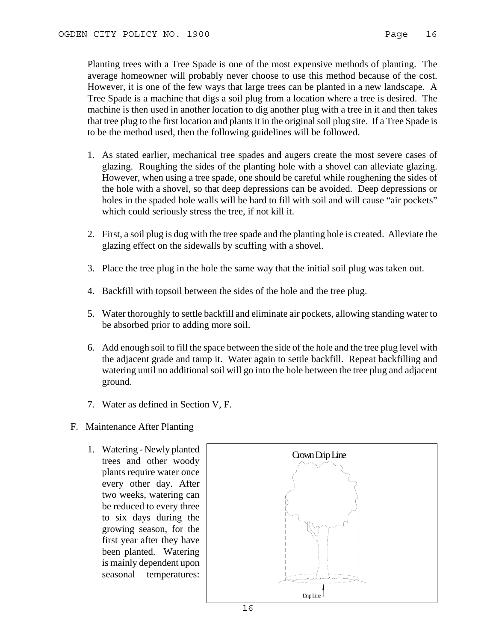Planting trees with a Tree Spade is one of the most expensive methods of planting. The average homeowner will probably never choose to use this method because of the cost. However, it is one of the few ways that large trees can be planted in a new landscape. A Tree Spade is a machine that digs a soil plug from a location where a tree is desired. The machine is then used in another location to dig another plug with a tree in it and then takes that tree plug to the first location and plants it in the original soil plug site. If a Tree Spade is to be the method used, then the following guidelines will be followed.

- 1. As stated earlier, mechanical tree spades and augers create the most severe cases of glazing. Roughing the sides of the planting hole with a shovel can alleviate glazing. However, when using a tree spade, one should be careful while roughening the sides of the hole with a shovel, so that deep depressions can be avoided. Deep depressions or holes in the spaded hole walls will be hard to fill with soil and will cause "air pockets" which could seriously stress the tree, if not kill it.
- 2. First, a soil plug is dug with the tree spade and the planting hole is created. Alleviate the glazing effect on the sidewalls by scuffing with a shovel.
- 3. Place the tree plug in the hole the same way that the initial soil plug was taken out.
- 4. Backfill with topsoil between the sides of the hole and the tree plug.
- 5. Water thoroughly to settle backfill and eliminate air pockets, allowing standing water to be absorbed prior to adding more soil.
- 6. Add enough soil to fill the space between the side of the hole and the tree plug level with the adjacent grade and tamp it. Water again to settle backfill. Repeat backfilling and watering until no additional soil will go into the hole between the tree plug and adjacent ground.
- 7. Water as defined in Section V, F.
- F. Maintenance After Planting
	- 1. Watering Newly planted trees and other woody plants require water once every other day. After two weeks, watering can be reduced to every three to six days during the growing season, for the first year after they have been planted. Watering is mainly dependent upon seasonal temperatures:

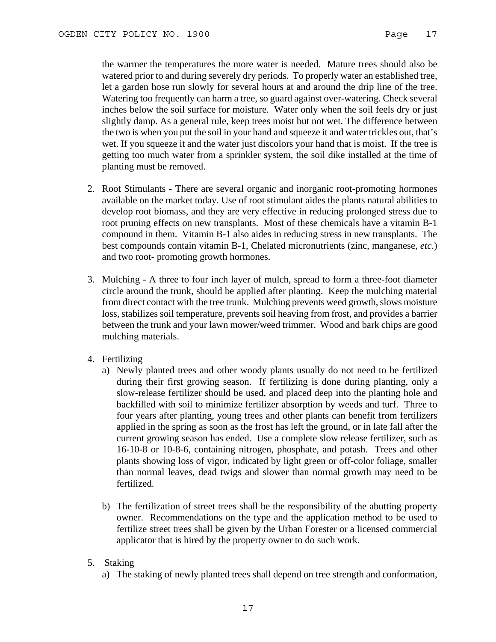the warmer the temperatures the more water is needed. Mature trees should also be watered prior to and during severely dry periods. To properly water an established tree, let a garden hose run slowly for several hours at and around the drip line of the tree. Watering too frequently can harm a tree, so guard against over-watering. Check several inches below the soil surface for moisture. Water only when the soil feels dry or just slightly damp. As a general rule, keep trees moist but not wet. The difference between the two is when you put the soil in your hand and squeeze it and water trickles out, that's wet. If you squeeze it and the water just discolors your hand that is moist. If the tree is getting too much water from a sprinkler system, the soil dike installed at the time of planting must be removed.

- 2. Root Stimulants There are several organic and inorganic root-promoting hormones available on the market today. Use of root stimulant aides the plants natural abilities to develop root biomass, and they are very effective in reducing prolonged stress due to root pruning effects on new transplants. Most of these chemicals have a vitamin B-1 compound in them. Vitamin B-1 also aides in reducing stress in new transplants. The best compounds contain vitamin B-1, Chelated micronutrients (zinc, manganese, *etc*.) and two root- promoting growth hormones.
- 3. Mulching A three to four inch layer of mulch, spread to form a three-foot diameter circle around the trunk, should be applied after planting. Keep the mulching material from direct contact with the tree trunk. Mulching prevents weed growth, slows moisture loss, stabilizes soil temperature, prevents soil heaving from frost, and provides a barrier between the trunk and your lawn mower/weed trimmer. Wood and bark chips are good mulching materials.
- 4. Fertilizing
	- a) Newly planted trees and other woody plants usually do not need to be fertilized during their first growing season. If fertilizing is done during planting, only a slow-release fertilizer should be used, and placed deep into the planting hole and backfilled with soil to minimize fertilizer absorption by weeds and turf. Three to four years after planting, young trees and other plants can benefit from fertilizers applied in the spring as soon as the frost has left the ground, or in late fall after the current growing season has ended. Use a complete slow release fertilizer, such as 16-10-8 or 10-8-6, containing nitrogen, phosphate, and potash. Trees and other plants showing loss of vigor, indicated by light green or off-color foliage, smaller than normal leaves, dead twigs and slower than normal growth may need to be fertilized.
	- b) The fertilization of street trees shall be the responsibility of the abutting property owner. Recommendations on the type and the application method to be used to fertilize street trees shall be given by the Urban Forester or a licensed commercial applicator that is hired by the property owner to do such work.
- 5. Staking
	- a) The staking of newly planted trees shall depend on tree strength and conformation,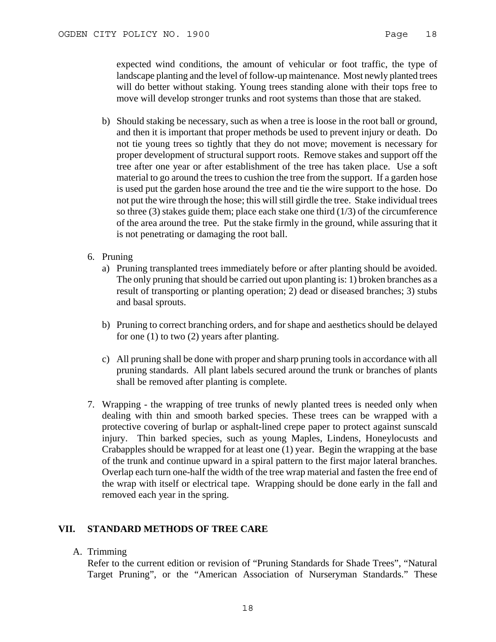expected wind conditions, the amount of vehicular or foot traffic, the type of landscape planting and the level of follow-up maintenance. Most newly planted trees will do better without staking. Young trees standing alone with their tops free to move will develop stronger trunks and root systems than those that are staked.

- b) Should staking be necessary, such as when a tree is loose in the root ball or ground, and then it is important that proper methods be used to prevent injury or death. Do not tie young trees so tightly that they do not move; movement is necessary for proper development of structural support roots. Remove stakes and support off the tree after one year or after establishment of the tree has taken place. Use a soft material to go around the trees to cushion the tree from the support. If a garden hose is used put the garden hose around the tree and tie the wire support to the hose. Do not put the wire through the hose; this will still girdle the tree. Stake individual trees so three  $(3)$  stakes guide them; place each stake one third  $(1/3)$  of the circumference of the area around the tree. Put the stake firmly in the ground, while assuring that it is not penetrating or damaging the root ball.
- 6. Pruning
	- a) Pruning transplanted trees immediately before or after planting should be avoided. The only pruning that should be carried out upon planting is: 1) broken branches as a result of transporting or planting operation; 2) dead or diseased branches; 3) stubs and basal sprouts.
	- b) Pruning to correct branching orders, and for shape and aesthetics should be delayed for one (1) to two (2) years after planting.
	- c) All pruning shall be done with proper and sharp pruning tools in accordance with all pruning standards. All plant labels secured around the trunk or branches of plants shall be removed after planting is complete.
- 7. Wrapping the wrapping of tree trunks of newly planted trees is needed only when dealing with thin and smooth barked species. These trees can be wrapped with a protective covering of burlap or asphalt-lined crepe paper to protect against sunscald injury. Thin barked species, such as young Maples, Lindens, Honeylocusts and Crabapples should be wrapped for at least one (1) year. Begin the wrapping at the base of the trunk and continue upward in a spiral pattern to the first major lateral branches. Overlap each turn one-half the width of the tree wrap material and fasten the free end of the wrap with itself or electrical tape. Wrapping should be done early in the fall and removed each year in the spring.

## **VII. STANDARD METHODS OF TREE CARE**

A. Trimming

Refer to the current edition or revision of "Pruning Standards for Shade Trees", "Natural Target Pruning", or the "American Association of Nurseryman Standards." These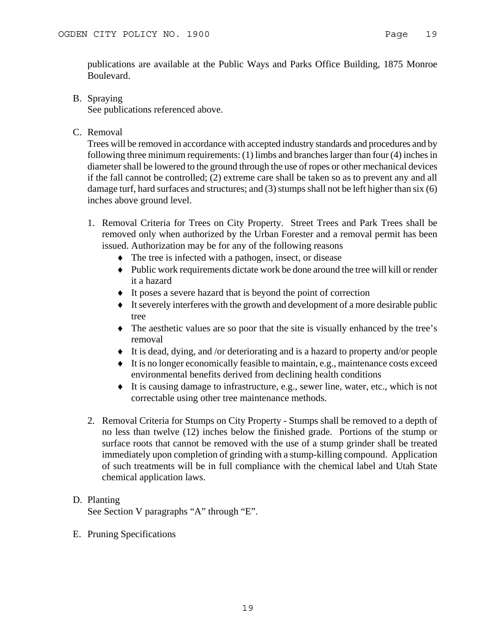publications are available at the Public Ways and Parks Office Building, 1875 Monroe Boulevard.

B. Spraying

See publications referenced above.

C. Removal

Trees will be removed in accordance with accepted industry standards and procedures and by following three minimum requirements: (1) limbs and branches larger than four (4) inches in diameter shall be lowered to the ground through the use of ropes or other mechanical devices if the fall cannot be controlled; (2) extreme care shall be taken so as to prevent any and all damage turf, hard surfaces and structures; and (3) stumps shall not be left higher than six (6) inches above ground level.

- 1. Removal Criteria for Trees on City Property. Street Trees and Park Trees shall be removed only when authorized by the Urban Forester and a removal permit has been issued. Authorization may be for any of the following reasons
	- ♦ The tree is infected with a pathogen, insect, or disease
	- ♦ Public work requirements dictate work be done around the tree will kill or render it a hazard
	- ♦ It poses a severe hazard that is beyond the point of correction
	- ♦ It severely interferes with the growth and development of a more desirable public tree
	- ♦ The aesthetic values are so poor that the site is visually enhanced by the tree's removal
	- ♦ It is dead, dying, and /or deteriorating and is a hazard to property and/or people
	- ♦ It is no longer economically feasible to maintain, e.g., maintenance costs exceed environmental benefits derived from declining health conditions
	- ♦ It is causing damage to infrastructure, e.g., sewer line, water, etc., which is not correctable using other tree maintenance methods.
- 2. Removal Criteria for Stumps on City Property Stumps shall be removed to a depth of no less than twelve (12) inches below the finished grade. Portions of the stump or surface roots that cannot be removed with the use of a stump grinder shall be treated immediately upon completion of grinding with a stump-killing compound. Application of such treatments will be in full compliance with the chemical label and Utah State chemical application laws.

## D. Planting See Section V paragraphs "A" through "E".

E. Pruning Specifications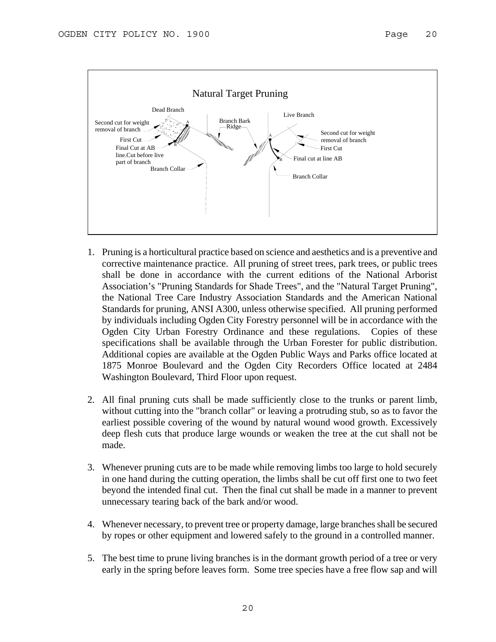

- 1. Pruning is a horticultural practice based on science and aesthetics and is a preventive and corrective maintenance practice. All pruning of street trees, park trees, or public trees shall be done in accordance with the current editions of the National Arborist Association's "Pruning Standards for Shade Trees", and the "Natural Target Pruning", the National Tree Care Industry Association Standards and the American National Standards for pruning, ANSI A300, unless otherwise specified. All pruning performed by individuals including Ogden City Forestry personnel will be in accordance with the Ogden City Urban Forestry Ordinance and these regulations. Copies of these specifications shall be available through the Urban Forester for public distribution. Additional copies are available at the Ogden Public Ways and Parks office located at 1875 Monroe Boulevard and the Ogden City Recorders Office located at 2484 Washington Boulevard, Third Floor upon request.
- 2. All final pruning cuts shall be made sufficiently close to the trunks or parent limb, without cutting into the "branch collar" or leaving a protruding stub, so as to favor the earliest possible covering of the wound by natural wound wood growth. Excessively deep flesh cuts that produce large wounds or weaken the tree at the cut shall not be made.
- 3. Whenever pruning cuts are to be made while removing limbs too large to hold securely in one hand during the cutting operation, the limbs shall be cut off first one to two feet beyond the intended final cut. Then the final cut shall be made in a manner to prevent unnecessary tearing back of the bark and/or wood.
- 4. Whenever necessary, to prevent tree or property damage, large branches shall be secured by ropes or other equipment and lowered safely to the ground in a controlled manner.
- 5. The best time to prune living branches is in the dormant growth period of a tree or very early in the spring before leaves form. Some tree species have a free flow sap and will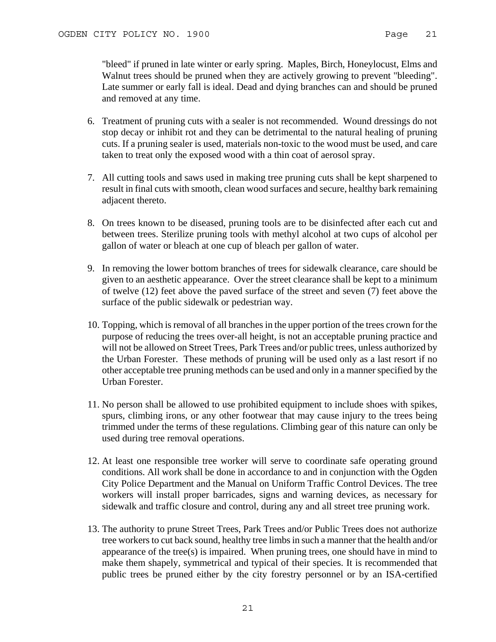"bleed" if pruned in late winter or early spring. Maples, Birch, Honeylocust, Elms and Walnut trees should be pruned when they are actively growing to prevent "bleeding". Late summer or early fall is ideal. Dead and dying branches can and should be pruned and removed at any time.

- 6. Treatment of pruning cuts with a sealer is not recommended. Wound dressings do not stop decay or inhibit rot and they can be detrimental to the natural healing of pruning cuts. If a pruning sealer is used, materials non-toxic to the wood must be used, and care taken to treat only the exposed wood with a thin coat of aerosol spray.
- 7. All cutting tools and saws used in making tree pruning cuts shall be kept sharpened to result in final cuts with smooth, clean wood surfaces and secure, healthy bark remaining adjacent thereto.
- 8. On trees known to be diseased, pruning tools are to be disinfected after each cut and between trees. Sterilize pruning tools with methyl alcohol at two cups of alcohol per gallon of water or bleach at one cup of bleach per gallon of water.
- 9. In removing the lower bottom branches of trees for sidewalk clearance, care should be given to an aesthetic appearance. Over the street clearance shall be kept to a minimum of twelve (12) feet above the paved surface of the street and seven (7) feet above the surface of the public sidewalk or pedestrian way.
- 10. Topping, which is removal of all branches in the upper portion of the trees crown for the purpose of reducing the trees over-all height, is not an acceptable pruning practice and will not be allowed on Street Trees, Park Trees and/or public trees, unless authorized by the Urban Forester. These methods of pruning will be used only as a last resort if no other acceptable tree pruning methods can be used and only in a manner specified by the Urban Forester.
- 11. No person shall be allowed to use prohibited equipment to include shoes with spikes, spurs, climbing irons, or any other footwear that may cause injury to the trees being trimmed under the terms of these regulations. Climbing gear of this nature can only be used during tree removal operations.
- 12. At least one responsible tree worker will serve to coordinate safe operating ground conditions. All work shall be done in accordance to and in conjunction with the Ogden City Police Department and the Manual on Uniform Traffic Control Devices. The tree workers will install proper barricades, signs and warning devices, as necessary for sidewalk and traffic closure and control, during any and all street tree pruning work.
- 13. The authority to prune Street Trees, Park Trees and/or Public Trees does not authorize tree workers to cut back sound, healthy tree limbs in such a manner that the health and/or appearance of the tree(s) is impaired. When pruning trees, one should have in mind to make them shapely, symmetrical and typical of their species. It is recommended that public trees be pruned either by the city forestry personnel or by an ISA-certified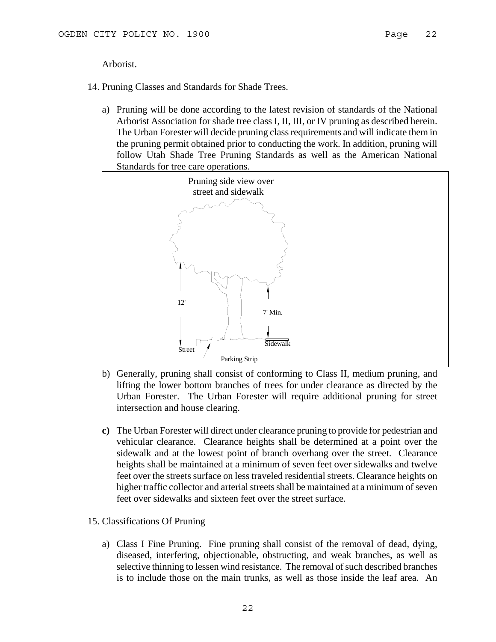Arborist.

14. Pruning Classes and Standards for Shade Trees.

a) Pruning will be done according to the latest revision of standards of the National Arborist Association for shade tree class I, II, III, or IV pruning as described herein. The Urban Forester will decide pruning class requirements and will indicate them in the pruning permit obtained prior to conducting the work. In addition, pruning will follow Utah Shade Tree Pruning Standards as well as the American National Standards for tree care operations.



- b) Generally, pruning shall consist of conforming to Class II, medium pruning, and lifting the lower bottom branches of trees for under clearance as directed by the Urban Forester. The Urban Forester will require additional pruning for street intersection and house clearing.
- **c)** The Urban Forester will direct under clearance pruning to provide for pedestrian and vehicular clearance. Clearance heights shall be determined at a point over the sidewalk and at the lowest point of branch overhang over the street. Clearance heights shall be maintained at a minimum of seven feet over sidewalks and twelve feet over the streets surface on less traveled residential streets. Clearance heights on higher traffic collector and arterial streets shall be maintained at a minimum of seven feet over sidewalks and sixteen feet over the street surface.
- 15. Classifications Of Pruning
	- a) Class I Fine Pruning. Fine pruning shall consist of the removal of dead, dying, diseased, interfering, objectionable, obstructing, and weak branches, as well as selective thinning to lessen wind resistance. The removal of such described branches is to include those on the main trunks, as well as those inside the leaf area. An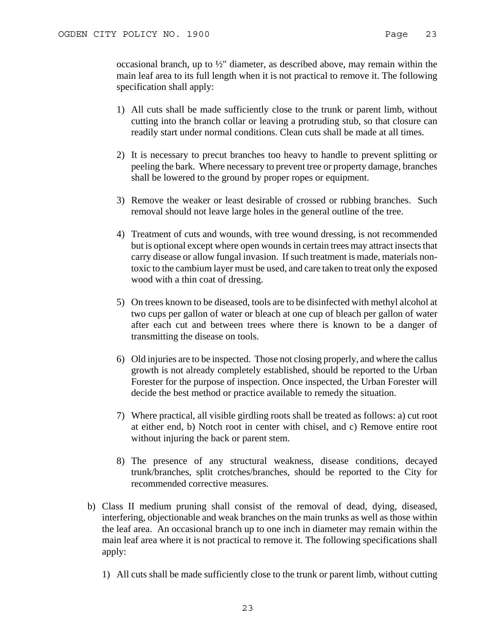occasional branch, up to ½" diameter, as described above, may remain within the main leaf area to its full length when it is not practical to remove it. The following specification shall apply:

- 1) All cuts shall be made sufficiently close to the trunk or parent limb, without cutting into the branch collar or leaving a protruding stub, so that closure can readily start under normal conditions. Clean cuts shall be made at all times.
- 2) It is necessary to precut branches too heavy to handle to prevent splitting or peeling the bark. Where necessary to prevent tree or property damage, branches shall be lowered to the ground by proper ropes or equipment.
- 3) Remove the weaker or least desirable of crossed or rubbing branches. Such removal should not leave large holes in the general outline of the tree.
- 4) Treatment of cuts and wounds, with tree wound dressing, is not recommended but is optional except where open wounds in certain trees may attract insects that carry disease or allow fungal invasion. If such treatment is made, materials nontoxic to the cambium layer must be used, and care taken to treat only the exposed wood with a thin coat of dressing.
- 5) On trees known to be diseased, tools are to be disinfected with methyl alcohol at two cups per gallon of water or bleach at one cup of bleach per gallon of water after each cut and between trees where there is known to be a danger of transmitting the disease on tools.
- 6) Old injuries are to be inspected. Those not closing properly, and where the callus growth is not already completely established, should be reported to the Urban Forester for the purpose of inspection. Once inspected, the Urban Forester will decide the best method or practice available to remedy the situation.
- 7) Where practical, all visible girdling roots shall be treated as follows: a) cut root at either end, b) Notch root in center with chisel, and c) Remove entire root without injuring the back or parent stem.
- 8) The presence of any structural weakness, disease conditions, decayed trunk/branches, split crotches/branches, should be reported to the City for recommended corrective measures.
- b) Class II medium pruning shall consist of the removal of dead, dying, diseased, interfering, objectionable and weak branches on the main trunks as well as those within the leaf area. An occasional branch up to one inch in diameter may remain within the main leaf area where it is not practical to remove it. The following specifications shall apply:
	- 1) All cuts shall be made sufficiently close to the trunk or parent limb, without cutting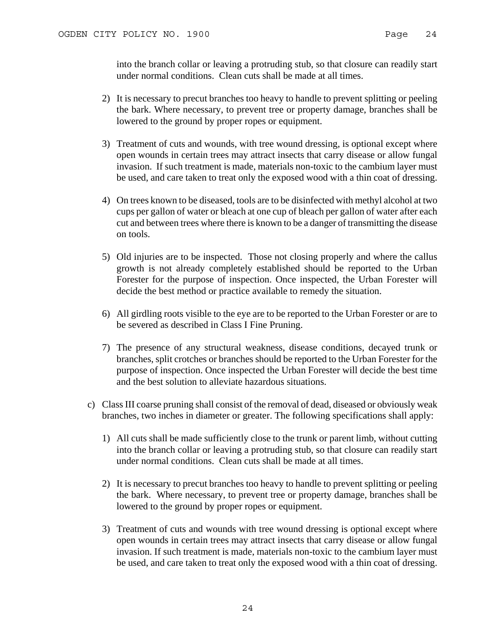into the branch collar or leaving a protruding stub, so that closure can readily start under normal conditions. Clean cuts shall be made at all times.

- 2) It is necessary to precut branches too heavy to handle to prevent splitting or peeling the bark. Where necessary, to prevent tree or property damage, branches shall be lowered to the ground by proper ropes or equipment.
- 3) Treatment of cuts and wounds, with tree wound dressing, is optional except where open wounds in certain trees may attract insects that carry disease or allow fungal invasion. If such treatment is made, materials non-toxic to the cambium layer must be used, and care taken to treat only the exposed wood with a thin coat of dressing.
- 4) On trees known to be diseased, tools are to be disinfected with methyl alcohol at two cups per gallon of water or bleach at one cup of bleach per gallon of water after each cut and between trees where there is known to be a danger of transmitting the disease on tools.
- 5) Old injuries are to be inspected. Those not closing properly and where the callus growth is not already completely established should be reported to the Urban Forester for the purpose of inspection. Once inspected, the Urban Forester will decide the best method or practice available to remedy the situation.
- 6) All girdling roots visible to the eye are to be reported to the Urban Forester or are to be severed as described in Class I Fine Pruning.
- 7) The presence of any structural weakness, disease conditions, decayed trunk or branches, split crotches or branches should be reported to the Urban Forester for the purpose of inspection. Once inspected the Urban Forester will decide the best time and the best solution to alleviate hazardous situations.
- c) Class III coarse pruning shall consist of the removal of dead, diseased or obviously weak branches, two inches in diameter or greater. The following specifications shall apply:
	- 1) All cuts shall be made sufficiently close to the trunk or parent limb, without cutting into the branch collar or leaving a protruding stub, so that closure can readily start under normal conditions. Clean cuts shall be made at all times.
	- 2) It is necessary to precut branches too heavy to handle to prevent splitting or peeling the bark. Where necessary, to prevent tree or property damage, branches shall be lowered to the ground by proper ropes or equipment.
	- 3) Treatment of cuts and wounds with tree wound dressing is optional except where open wounds in certain trees may attract insects that carry disease or allow fungal invasion. If such treatment is made, materials non-toxic to the cambium layer must be used, and care taken to treat only the exposed wood with a thin coat of dressing.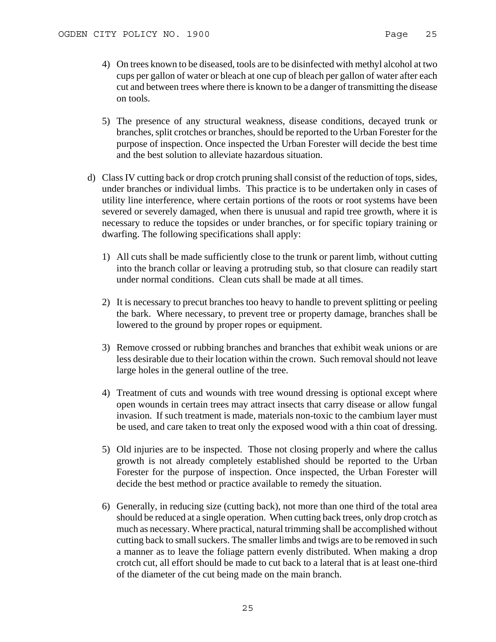- 4) On trees known to be diseased, tools are to be disinfected with methyl alcohol at two cups per gallon of water or bleach at one cup of bleach per gallon of water after each cut and between trees where there is known to be a danger of transmitting the disease on tools.
- 5) The presence of any structural weakness, disease conditions, decayed trunk or branches, split crotches or branches, should be reported to the Urban Forester for the purpose of inspection. Once inspected the Urban Forester will decide the best time and the best solution to alleviate hazardous situation.
- d) Class IV cutting back or drop crotch pruning shall consist of the reduction of tops, sides, under branches or individual limbs. This practice is to be undertaken only in cases of utility line interference, where certain portions of the roots or root systems have been severed or severely damaged, when there is unusual and rapid tree growth, where it is necessary to reduce the topsides or under branches, or for specific topiary training or dwarfing. The following specifications shall apply:
	- 1) All cuts shall be made sufficiently close to the trunk or parent limb, without cutting into the branch collar or leaving a protruding stub, so that closure can readily start under normal conditions. Clean cuts shall be made at all times.
	- 2) It is necessary to precut branches too heavy to handle to prevent splitting or peeling the bark. Where necessary, to prevent tree or property damage, branches shall be lowered to the ground by proper ropes or equipment.
	- 3) Remove crossed or rubbing branches and branches that exhibit weak unions or are less desirable due to their location within the crown. Such removal should not leave large holes in the general outline of the tree.
	- 4) Treatment of cuts and wounds with tree wound dressing is optional except where open wounds in certain trees may attract insects that carry disease or allow fungal invasion. If such treatment is made, materials non-toxic to the cambium layer must be used, and care taken to treat only the exposed wood with a thin coat of dressing.
	- 5) Old injuries are to be inspected. Those not closing properly and where the callus growth is not already completely established should be reported to the Urban Forester for the purpose of inspection. Once inspected, the Urban Forester will decide the best method or practice available to remedy the situation.
	- 6) Generally, in reducing size (cutting back), not more than one third of the total area should be reduced at a single operation. When cutting back trees, only drop crotch as much as necessary. Where practical, natural trimming shall be accomplished without cutting back to small suckers. The smaller limbs and twigs are to be removed in such a manner as to leave the foliage pattern evenly distributed. When making a drop crotch cut, all effort should be made to cut back to a lateral that is at least one-third of the diameter of the cut being made on the main branch.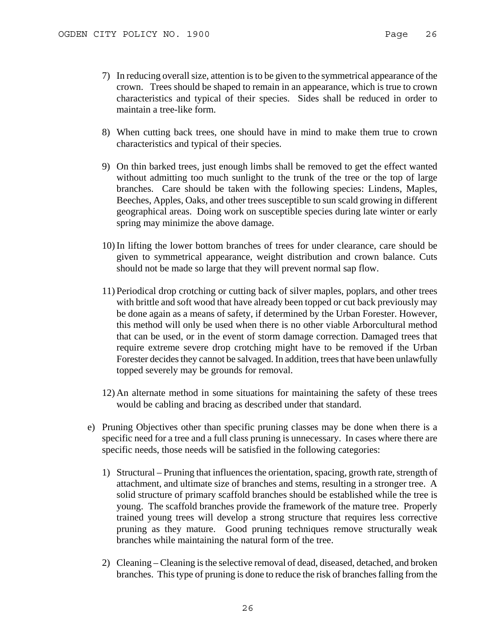- 7) In reducing overall size, attention is to be given to the symmetrical appearance of the crown. Trees should be shaped to remain in an appearance, which is true to crown characteristics and typical of their species. Sides shall be reduced in order to maintain a tree-like form.
- 8) When cutting back trees, one should have in mind to make them true to crown characteristics and typical of their species.
- 9) On thin barked trees, just enough limbs shall be removed to get the effect wanted without admitting too much sunlight to the trunk of the tree or the top of large branches. Care should be taken with the following species: Lindens, Maples, Beeches, Apples, Oaks, and other trees susceptible to sun scald growing in different geographical areas. Doing work on susceptible species during late winter or early spring may minimize the above damage.
- 10)In lifting the lower bottom branches of trees for under clearance, care should be given to symmetrical appearance, weight distribution and crown balance. Cuts should not be made so large that they will prevent normal sap flow.
- 11) Periodical drop crotching or cutting back of silver maples, poplars, and other trees with brittle and soft wood that have already been topped or cut back previously may be done again as a means of safety, if determined by the Urban Forester. However, this method will only be used when there is no other viable Arborcultural method that can be used, or in the event of storm damage correction. Damaged trees that require extreme severe drop crotching might have to be removed if the Urban Forester decides they cannot be salvaged. In addition, trees that have been unlawfully topped severely may be grounds for removal.
- 12) An alternate method in some situations for maintaining the safety of these trees would be cabling and bracing as described under that standard.
- e) Pruning Objectives other than specific pruning classes may be done when there is a specific need for a tree and a full class pruning is unnecessary. In cases where there are specific needs, those needs will be satisfied in the following categories:
	- 1) Structural Pruning that influences the orientation, spacing, growth rate, strength of attachment, and ultimate size of branches and stems, resulting in a stronger tree. A solid structure of primary scaffold branches should be established while the tree is young. The scaffold branches provide the framework of the mature tree. Properly trained young trees will develop a strong structure that requires less corrective pruning as they mature. Good pruning techniques remove structurally weak branches while maintaining the natural form of the tree.
	- 2) Cleaning Cleaning is the selective removal of dead, diseased, detached, and broken branches. This type of pruning is done to reduce the risk of branches falling from the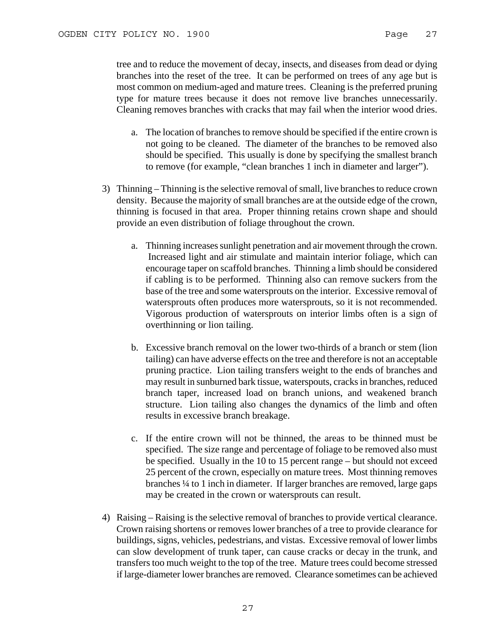tree and to reduce the movement of decay, insects, and diseases from dead or dying branches into the reset of the tree. It can be performed on trees of any age but is most common on medium-aged and mature trees. Cleaning is the preferred pruning type for mature trees because it does not remove live branches unnecessarily. Cleaning removes branches with cracks that may fail when the interior wood dries.

- a. The location of branches to remove should be specified if the entire crown is not going to be cleaned. The diameter of the branches to be removed also should be specified. This usually is done by specifying the smallest branch to remove (for example, "clean branches 1 inch in diameter and larger").
- 3) Thinning Thinning is the selective removal of small, live branches to reduce crown density. Because the majority of small branches are at the outside edge of the crown, thinning is focused in that area. Proper thinning retains crown shape and should provide an even distribution of foliage throughout the crown.
	- a. Thinning increases sunlight penetration and air movement through the crown. Increased light and air stimulate and maintain interior foliage, which can encourage taper on scaffold branches. Thinning a limb should be considered if cabling is to be performed. Thinning also can remove suckers from the base of the tree and some watersprouts on the interior. Excessive removal of watersprouts often produces more watersprouts, so it is not recommended. Vigorous production of watersprouts on interior limbs often is a sign of overthinning or lion tailing.
	- b. Excessive branch removal on the lower two-thirds of a branch or stem (lion tailing) can have adverse effects on the tree and therefore is not an acceptable pruning practice. Lion tailing transfers weight to the ends of branches and may result in sunburned bark tissue, waterspouts, cracks in branches, reduced branch taper, increased load on branch unions, and weakened branch structure. Lion tailing also changes the dynamics of the limb and often results in excessive branch breakage.
	- c. If the entire crown will not be thinned, the areas to be thinned must be specified. The size range and percentage of foliage to be removed also must be specified. Usually in the 10 to 15 percent range – but should not exceed 25 percent of the crown, especially on mature trees. Most thinning removes branches ¼ to 1 inch in diameter. If larger branches are removed, large gaps may be created in the crown or watersprouts can result.
- 4) Raising Raising is the selective removal of branches to provide vertical clearance. Crown raising shortens or removes lower branches of a tree to provide clearance for buildings, signs, vehicles, pedestrians, and vistas. Excessive removal of lower limbs can slow development of trunk taper, can cause cracks or decay in the trunk, and transfers too much weight to the top of the tree. Mature trees could become stressed if large-diameter lower branches are removed. Clearance sometimes can be achieved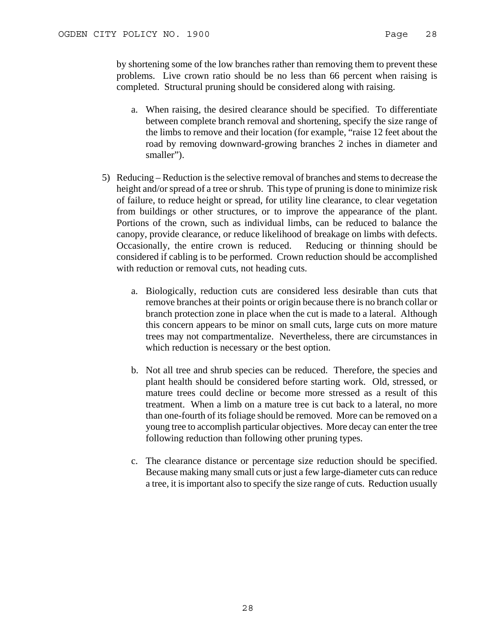by shortening some of the low branches rather than removing them to prevent these problems. Live crown ratio should be no less than 66 percent when raising is completed. Structural pruning should be considered along with raising.

- a. When raising, the desired clearance should be specified. To differentiate between complete branch removal and shortening, specify the size range of the limbs to remove and their location (for example, "raise 12 feet about the road by removing downward-growing branches 2 inches in diameter and smaller").
- 5) Reducing Reduction is the selective removal of branches and stems to decrease the height and/or spread of a tree or shrub. This type of pruning is done to minimize risk of failure, to reduce height or spread, for utility line clearance, to clear vegetation from buildings or other structures, or to improve the appearance of the plant. Portions of the crown, such as individual limbs, can be reduced to balance the canopy, provide clearance, or reduce likelihood of breakage on limbs with defects. Occasionally, the entire crown is reduced. Reducing or thinning should be considered if cabling is to be performed. Crown reduction should be accomplished with reduction or removal cuts, not heading cuts.
	- a. Biologically, reduction cuts are considered less desirable than cuts that remove branches at their points or origin because there is no branch collar or branch protection zone in place when the cut is made to a lateral. Although this concern appears to be minor on small cuts, large cuts on more mature trees may not compartmentalize. Nevertheless, there are circumstances in which reduction is necessary or the best option.
	- b. Not all tree and shrub species can be reduced. Therefore, the species and plant health should be considered before starting work. Old, stressed, or mature trees could decline or become more stressed as a result of this treatment. When a limb on a mature tree is cut back to a lateral, no more than one-fourth of its foliage should be removed. More can be removed on a young tree to accomplish particular objectives. More decay can enter the tree following reduction than following other pruning types.
	- c. The clearance distance or percentage size reduction should be specified. Because making many small cuts or just a few large-diameter cuts can reduce a tree, it is important also to specify the size range of cuts. Reduction usually